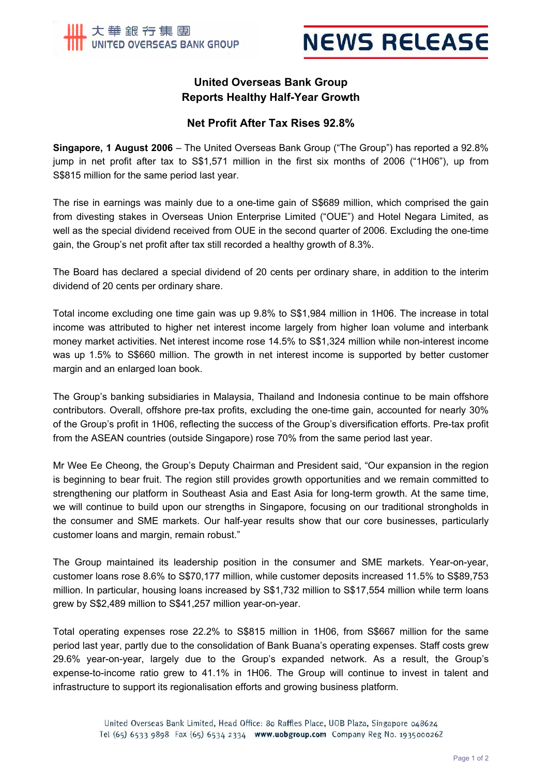

# **NEWS RELEASE**

## **United Overseas Bank Group Reports Healthy Half-Year Growth**

## **Net Profit After Tax Rises 92.8%**

**Singapore, 1 August 2006** – The United Overseas Bank Group ("The Group") has reported a 92.8% jump in net profit after tax to S\$1,571 million in the first six months of 2006 ("1H06"), up from S\$815 million for the same period last year.

The rise in earnings was mainly due to a one-time gain of S\$689 million, which comprised the gain from divesting stakes in Overseas Union Enterprise Limited ("OUE") and Hotel Negara Limited, as well as the special dividend received from OUE in the second quarter of 2006. Excluding the one-time gain, the Group's net profit after tax still recorded a healthy growth of 8.3%.

The Board has declared a special dividend of 20 cents per ordinary share, in addition to the interim dividend of 20 cents per ordinary share.

Total income excluding one time gain was up 9.8% to S\$1,984 million in 1H06. The increase in total income was attributed to higher net interest income largely from higher loan volume and interbank money market activities. Net interest income rose 14.5% to S\$1,324 million while non-interest income was up 1.5% to S\$660 million. The growth in net interest income is supported by better customer margin and an enlarged loan book.

The Group's banking subsidiaries in Malaysia, Thailand and Indonesia continue to be main offshore contributors. Overall, offshore pre-tax profits, excluding the one-time gain, accounted for nearly 30% of the Group's profit in 1H06, reflecting the success of the Group's diversification efforts. Pre-tax profit from the ASEAN countries (outside Singapore) rose 70% from the same period last year.

Mr Wee Ee Cheong, the Group's Deputy Chairman and President said, "Our expansion in the region is beginning to bear fruit. The region still provides growth opportunities and we remain committed to strengthening our platform in Southeast Asia and East Asia for long-term growth. At the same time, we will continue to build upon our strengths in Singapore, focusing on our traditional strongholds in the consumer and SME markets. Our half-year results show that our core businesses, particularly customer loans and margin, remain robust."

The Group maintained its leadership position in the consumer and SME markets. Year-on-year, customer loans rose 8.6% to S\$70,177 million, while customer deposits increased 11.5% to S\$89,753 million. In particular, housing loans increased by S\$1,732 million to S\$17,554 million while term loans grew by S\$2,489 million to S\$41,257 million year-on-year.

Total operating expenses rose 22.2% to S\$815 million in 1H06, from S\$667 million for the same period last year, partly due to the consolidation of Bank Buana's operating expenses. Staff costs grew 29.6% year-on-year, largely due to the Group's expanded network. As a result, the Group's expense-to-income ratio grew to 41.1% in 1H06. The Group will continue to invest in talent and infrastructure to support its regionalisation efforts and growing business platform.